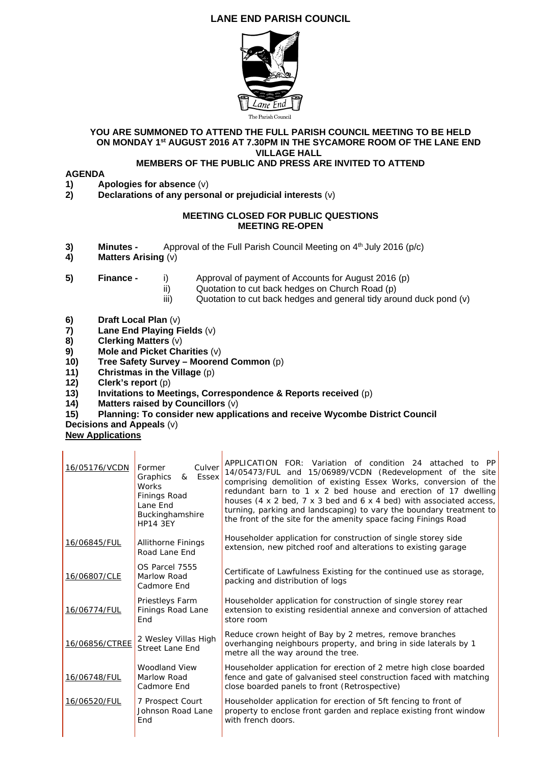# **LANE END PARISH COUNCIL**



### **YOU ARE SUMMONED TO ATTEND THE FULL PARISH COUNCIL MEETING TO BE HELD ON MONDAY 1st AUGUST 2016 AT 7.30PM IN THE SYCAMORE ROOM OF THE LANE END VILLAGE HALL**

## **MEMBERS OF THE PUBLIC AND PRESS ARE INVITED TO ATTEND**

- **AGENDA 1)** Apologies for absence (v)<br>**2)** Declarations of any perso
- **2) Declarations of any personal or prejudicial interests** (v)

### **MEETING CLOSED FOR PUBLIC QUESTIONS MEETING RE-OPEN**

- **3) Minutes -** Approval of the Full Parish Council Meeting on 4<sup>th</sup> July 2016 (p/c)
- **4) Matters Arising** (v)
- 
- **5) Finance** i) Approval of payment of Accounts for August 2016 (p)
	- ii) Quotation to cut back hedges on Church Road (p)
	- iii) Quotation to cut back hedges and general tidy around duck pond (v)
- **6) Draft Local Plan** (v)
- **7) Lane End Playing Fields** (v)
- **8) Clerking Matters** (v)
- **9) Mole and Picket Charities** (v)
- **10) Tree Safety Survey Moorend Common** (p)
- **11) Christmas in the Village** (p)
- **12)** Clerk's report (p)<br>**13)** Invitations to Mee
- **13)** Invitations to Meetings, Correspondence & Reports received (p) <br>**14)** Matters raised by Councillors (v)

 $\overline{1}$ 

- **14) Matters raised by Councillors** (v)
- **15) Planning: To consider new applications and receive Wycombe District Council**

### **Decisions and Appeals** (v)

 $\overline{1}$ 

**New Applications** 

| 16/05176/VCDN  | Culver<br>Former<br>Graphics<br>& Essex<br><b>Works</b><br>Finings Road<br>Lane End<br>Buckinghamshire<br><b>HP14 3EY</b> | APPLICATION FOR: Variation of condition 24 attached to PP<br>14/05473/FUL and 15/06989/VCDN (Redevelopment of the site<br>comprising demolition of existing Essex Works, conversion of the<br>redundant barn to 1 x 2 bed house and erection of 17 dwelling<br>houses (4 x 2 bed, 7 x 3 bed and 6 x 4 bed) with associated access,<br>turning, parking and landscaping) to vary the boundary treatment to<br>the front of the site for the amenity space facing Finings Road |
|----------------|---------------------------------------------------------------------------------------------------------------------------|------------------------------------------------------------------------------------------------------------------------------------------------------------------------------------------------------------------------------------------------------------------------------------------------------------------------------------------------------------------------------------------------------------------------------------------------------------------------------|
| 16/06845/FUL   | <b>Allithorne Finings</b><br>Road Lane End                                                                                | Householder application for construction of single storey side<br>extension, new pitched roof and alterations to existing garage                                                                                                                                                                                                                                                                                                                                             |
| 16/06807/CLE   | OS Parcel 7555<br>Marlow Road<br>Cadmore End                                                                              | Certificate of Lawfulness Existing for the continued use as storage,<br>packing and distribution of logs                                                                                                                                                                                                                                                                                                                                                                     |
| 16/06774/FUL   | Priestleys Farm<br>Finings Road Lane<br>End                                                                               | Householder application for construction of single storey rear<br>extension to existing residential annexe and conversion of attached<br>store room                                                                                                                                                                                                                                                                                                                          |
| 16/06856/CTREE | 2 Wesley Villas High<br><b>Street Lane End</b>                                                                            | Reduce crown height of Bay by 2 metres, remove branches<br>overhanging neighbours property, and bring in side laterals by 1<br>metre all the way around the tree.                                                                                                                                                                                                                                                                                                            |
| 16/06748/FUL   | Woodland View<br>Marlow Road<br>Cadmore End                                                                               | Householder application for erection of 2 metre high close boarded<br>fence and gate of galvanised steel construction faced with matching<br>close boarded panels to front (Retrospective)                                                                                                                                                                                                                                                                                   |
| 16/06520/FUL   | 7 Prospect Court<br>Johnson Road Lane<br>End                                                                              | Householder application for erection of 5ft fencing to front of<br>property to enclose front garden and replace existing front window<br>with french doors.                                                                                                                                                                                                                                                                                                                  |